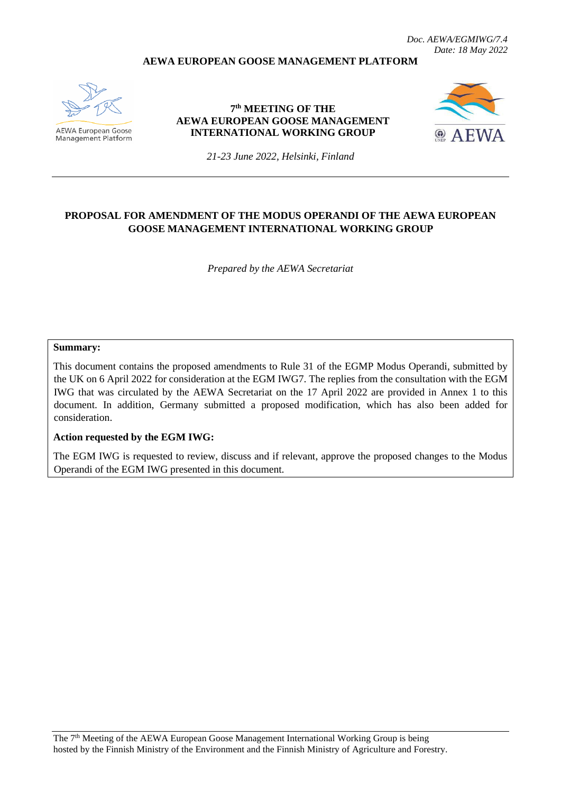*Doc. AEWA/EGMIWG/7.4 Date: 18 May 2022*

#### **AEWA EUROPEAN GOOSE MANAGEMENT PLATFORM**



AEWA European Goose Management Platform

**7 th MEETING OF THE AEWA EUROPEAN GOOSE MANAGEMENT INTERNATIONAL WORKING GROUP**



*21-23 June 2022, Helsinki, Finland*

#### **PROPOSAL FOR AMENDMENT OF THE MODUS OPERANDI OF THE AEWA EUROPEAN GOOSE MANAGEMENT INTERNATIONAL WORKING GROUP**

*Prepared by the AEWA Secretariat*

#### **Summary:**

This document contains the proposed amendments to Rule 31 of the EGMP Modus Operandi, submitted by the UK on 6 April 2022 for consideration at the EGM IWG7. The replies from the consultation with the EGM IWG that was circulated by the AEWA Secretariat on the 17 April 2022 are provided in Annex 1 to this document. In addition, Germany submitted a proposed modification, which has also been added for consideration.

#### **Action requested by the EGM IWG:**

The EGM IWG is requested to review, discuss and if relevant, approve the proposed changes to the Modus Operandi of the EGM IWG presented in this document.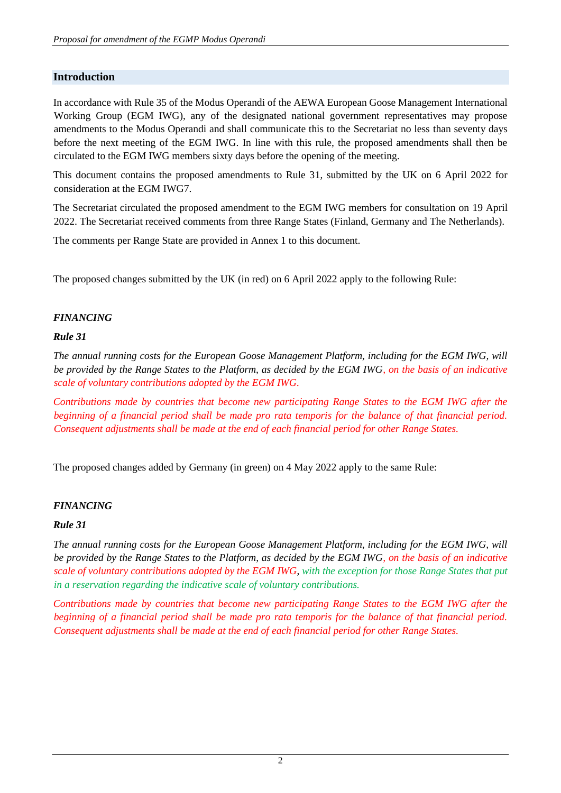### **Introduction**

In accordance with Rule 35 of the Modus Operandi of the AEWA European Goose Management International Working Group (EGM IWG), any of the designated national government representatives may propose amendments to the Modus Operandi and shall communicate this to the Secretariat no less than seventy days before the next meeting of the EGM IWG. In line with this rule, the proposed amendments shall then be circulated to the EGM IWG members sixty days before the opening of the meeting.

This document contains the proposed amendments to Rule 31, submitted by the UK on 6 April 2022 for consideration at the EGM IWG7.

The Secretariat circulated the proposed amendment to the EGM IWG members for consultation on 19 April 2022. The Secretariat received comments from three Range States (Finland, Germany and The Netherlands).

The comments per Range State are provided in Annex 1 to this document.

The proposed changes submitted by the UK (in red) on 6 April 2022 apply to the following Rule:

#### *FINANCING*

#### *Rule 31*

*The annual running costs for the European Goose Management Platform, including for the EGM IWG, will be provided by the Range States to the Platform, as decided by the EGM IWG, on the basis of an indicative scale of voluntary contributions adopted by the EGM IWG.*

*Contributions made by countries that become new participating Range States to the EGM IWG after the beginning of a financial period shall be made pro rata temporis for the balance of that financial period. Consequent adjustments shall be made at the end of each financial period for other Range States.*

The proposed changes added by Germany (in green) on 4 May 2022 apply to the same Rule:

#### *FINANCING*

#### *Rule 31*

*The annual running costs for the European Goose Management Platform, including for the EGM IWG, will be provided by the Range States to the Platform, as decided by the EGM IWG, on the basis of an indicative scale of voluntary contributions adopted by the EGM IWG*, *with the exception for those Range States that put in a reservation regarding the indicative scale of voluntary contributions.*

*Contributions made by countries that become new participating Range States to the EGM IWG after the beginning of a financial period shall be made pro rata temporis for the balance of that financial period. Consequent adjustments shall be made at the end of each financial period for other Range States.*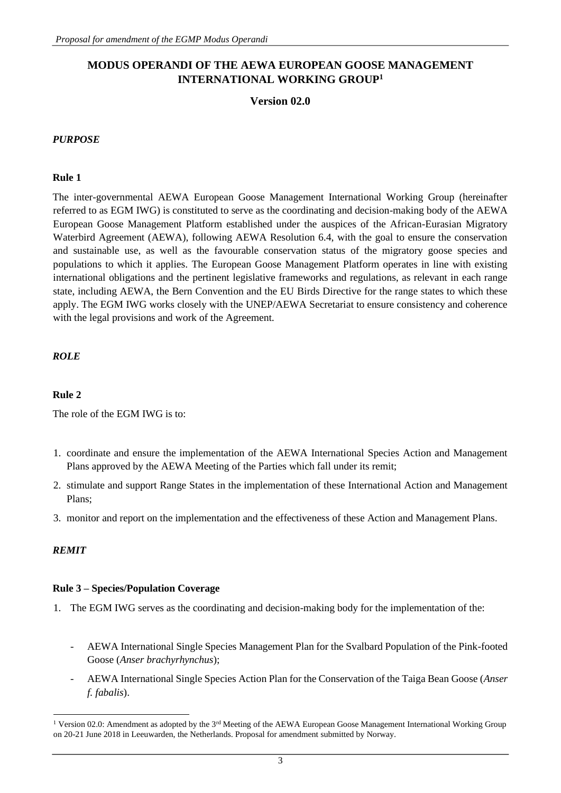# **MODUS OPERANDI OF THE AEWA EUROPEAN GOOSE MANAGEMENT INTERNATIONAL WORKING GROUP<sup>1</sup>**

#### **Version 02.0**

#### *PURPOSE*

#### **Rule 1**

The inter-governmental AEWA European Goose Management International Working Group (hereinafter referred to as EGM IWG) is constituted to serve as the coordinating and decision-making body of the AEWA European Goose Management Platform established under the auspices of the African-Eurasian Migratory Waterbird Agreement (AEWA), following AEWA Resolution 6.4, with the goal to ensure the conservation and sustainable use, as well as the favourable conservation status of the migratory goose species and populations to which it applies. The European Goose Management Platform operates in line with existing international obligations and the pertinent legislative frameworks and regulations, as relevant in each range state, including AEWA, the Bern Convention and the EU Birds Directive for the range states to which these apply. The EGM IWG works closely with the UNEP/AEWA Secretariat to ensure consistency and coherence with the legal provisions and work of the Agreement.

#### *ROLE*

#### **Rule 2**

The role of the EGM IWG is to:

- 1. coordinate and ensure the implementation of the AEWA International Species Action and Management Plans approved by the AEWA Meeting of the Parties which fall under its remit;
- 2. stimulate and support Range States in the implementation of these International Action and Management Plans;
- 3. monitor and report on the implementation and the effectiveness of these Action and Management Plans.

#### *REMIT*

#### **Rule 3 – Species/Population Coverage**

- 1. The EGM IWG serves as the coordinating and decision-making body for the implementation of the:
	- AEWA International Single Species Management Plan for the Svalbard Population of the Pink-footed Goose (*Anser brachyrhynchus*);
	- AEWA International Single Species Action Plan for the Conservation of the Taiga Bean Goose (*Anser f. fabalis*).

<sup>&</sup>lt;sup>1</sup> Version 02.0: Amendment as adopted by the  $3^{rd}$  Meeting of the AEWA European Goose Management International Working Group on 20-21 June 2018 in Leeuwarden, the Netherlands. Proposal for amendment submitted by Norway.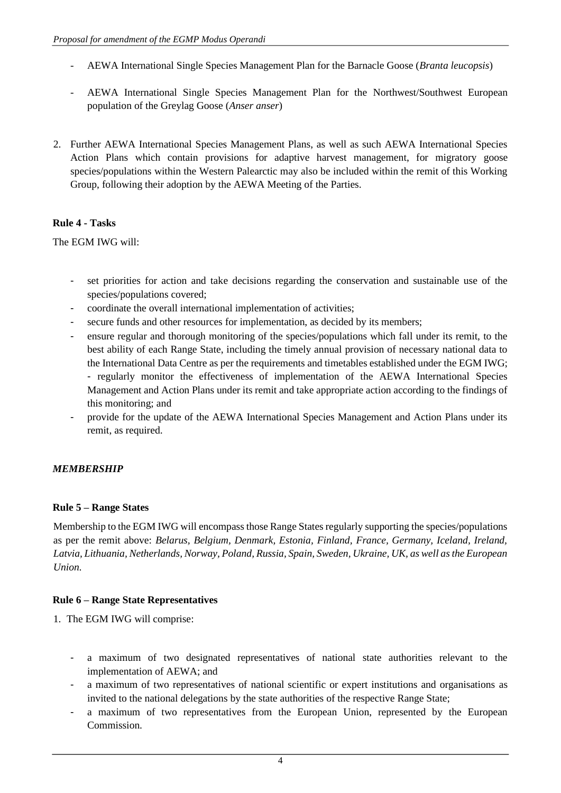- AEWA International Single Species Management Plan for the Barnacle Goose (*Branta leucopsis*)
- AEWA International Single Species Management Plan for the Northwest/Southwest European population of the Greylag Goose (*Anser anser*)
- 2. Further AEWA International Species Management Plans, as well as such AEWA International Species Action Plans which contain provisions for adaptive harvest management, for migratory goose species/populations within the Western Palearctic may also be included within the remit of this Working Group, following their adoption by the AEWA Meeting of the Parties.

# **Rule 4 - Tasks**

The EGM IWG will:

- set priorities for action and take decisions regarding the conservation and sustainable use of the species/populations covered;
- coordinate the overall international implementation of activities;
- secure funds and other resources for implementation, as decided by its members;
- ensure regular and thorough monitoring of the species/populations which fall under its remit, to the best ability of each Range State, including the timely annual provision of necessary national data to the International Data Centre as per the requirements and timetables established under the EGM IWG; - regularly monitor the effectiveness of implementation of the AEWA International Species Management and Action Plans under its remit and take appropriate action according to the findings of this monitoring; and
- provide for the update of the AEWA International Species Management and Action Plans under its remit, as required.

### *MEMBERSHIP*

### **Rule 5 – Range States**

Membership to the EGM IWG will encompass those Range States regularly supporting the species/populations as per the remit above: *Belarus, Belgium, Denmark, Estonia, Finland, France, Germany, Iceland, Ireland, Latvia, Lithuania, Netherlands, Norway, Poland, Russia, Spain, Sweden, Ukraine, UK, as well as the European Union.* 

### **Rule 6 – Range State Representatives**

- 1. The EGM IWG will comprise:
	- a maximum of two designated representatives of national state authorities relevant to the implementation of AEWA; and
	- a maximum of two representatives of national scientific or expert institutions and organisations as invited to the national delegations by the state authorities of the respective Range State;
	- a maximum of two representatives from the European Union, represented by the European Commission.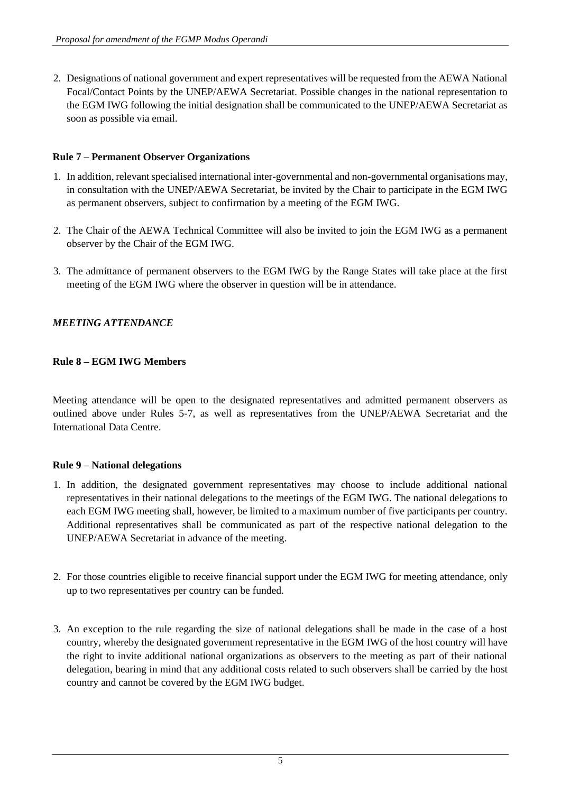2. Designations of national government and expert representatives will be requested from the AEWA National Focal/Contact Points by the UNEP/AEWA Secretariat. Possible changes in the national representation to the EGM IWG following the initial designation shall be communicated to the UNEP/AEWA Secretariat as soon as possible via email.

# **Rule 7 – Permanent Observer Organizations**

- 1. In addition, relevant specialised international inter-governmental and non-governmental organisations may, in consultation with the UNEP/AEWA Secretariat, be invited by the Chair to participate in the EGM IWG as permanent observers, subject to confirmation by a meeting of the EGM IWG.
- 2. The Chair of the AEWA Technical Committee will also be invited to join the EGM IWG as a permanent observer by the Chair of the EGM IWG.
- 3. The admittance of permanent observers to the EGM IWG by the Range States will take place at the first meeting of the EGM IWG where the observer in question will be in attendance.

# *MEETING ATTENDANCE*

# **Rule 8 – EGM IWG Members**

Meeting attendance will be open to the designated representatives and admitted permanent observers as outlined above under Rules 5-7, as well as representatives from the UNEP/AEWA Secretariat and the International Data Centre.

# **Rule 9 – National delegations**

- 1. In addition, the designated government representatives may choose to include additional national representatives in their national delegations to the meetings of the EGM IWG. The national delegations to each EGM IWG meeting shall, however, be limited to a maximum number of five participants per country. Additional representatives shall be communicated as part of the respective national delegation to the UNEP/AEWA Secretariat in advance of the meeting.
- 2. For those countries eligible to receive financial support under the EGM IWG for meeting attendance, only up to two representatives per country can be funded.
- 3. An exception to the rule regarding the size of national delegations shall be made in the case of a host country, whereby the designated government representative in the EGM IWG of the host country will have the right to invite additional national organizations as observers to the meeting as part of their national delegation, bearing in mind that any additional costs related to such observers shall be carried by the host country and cannot be covered by the EGM IWG budget.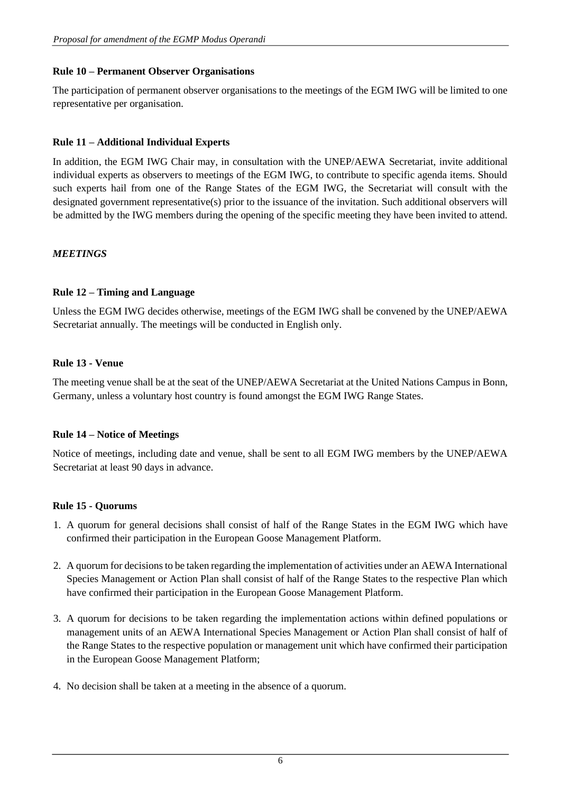### **Rule 10 – Permanent Observer Organisations**

The participation of permanent observer organisations to the meetings of the EGM IWG will be limited to one representative per organisation.

## **Rule 11 – Additional Individual Experts**

In addition, the EGM IWG Chair may, in consultation with the UNEP/AEWA Secretariat, invite additional individual experts as observers to meetings of the EGM IWG, to contribute to specific agenda items. Should such experts hail from one of the Range States of the EGM IWG, the Secretariat will consult with the designated government representative(s) prior to the issuance of the invitation. Such additional observers will be admitted by the IWG members during the opening of the specific meeting they have been invited to attend.

# *MEETINGS*

### **Rule 12 – Timing and Language**

Unless the EGM IWG decides otherwise, meetings of the EGM IWG shall be convened by the UNEP/AEWA Secretariat annually. The meetings will be conducted in English only.

### **Rule 13 - Venue**

The meeting venue shall be at the seat of the UNEP/AEWA Secretariat at the United Nations Campus in Bonn, Germany, unless a voluntary host country is found amongst the EGM IWG Range States.

### **Rule 14 – Notice of Meetings**

Notice of meetings, including date and venue, shall be sent to all EGM IWG members by the UNEP/AEWA Secretariat at least 90 days in advance.

### **Rule 15 - Quorums**

- 1. A quorum for general decisions shall consist of half of the Range States in the EGM IWG which have confirmed their participation in the European Goose Management Platform.
- 2. A quorum for decisions to be taken regarding the implementation of activities under an AEWA International Species Management or Action Plan shall consist of half of the Range States to the respective Plan which have confirmed their participation in the European Goose Management Platform.
- 3. A quorum for decisions to be taken regarding the implementation actions within defined populations or management units of an AEWA International Species Management or Action Plan shall consist of half of the Range States to the respective population or management unit which have confirmed their participation in the European Goose Management Platform;
- 4. No decision shall be taken at a meeting in the absence of a quorum.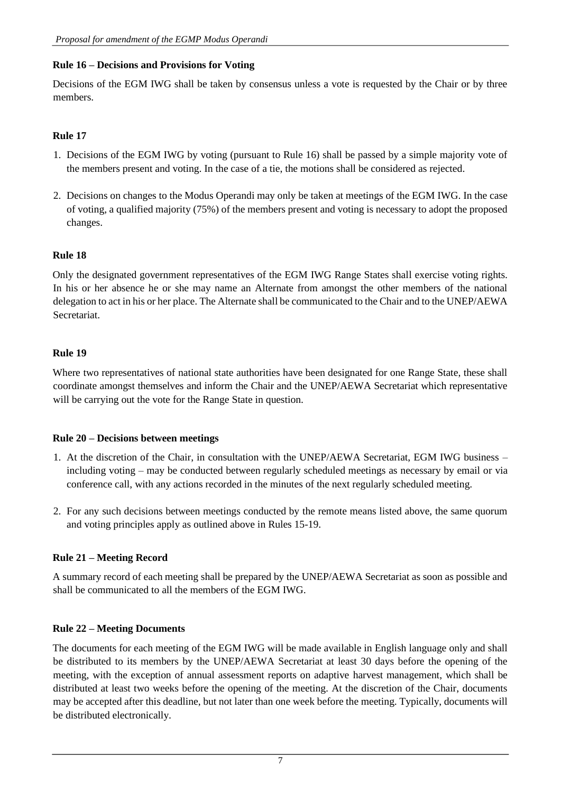### **Rule 16 – Decisions and Provisions for Voting**

Decisions of the EGM IWG shall be taken by consensus unless a vote is requested by the Chair or by three members.

# **Rule 17**

- 1. Decisions of the EGM IWG by voting (pursuant to Rule 16) shall be passed by a simple majority vote of the members present and voting. In the case of a tie, the motions shall be considered as rejected.
- 2. Decisions on changes to the Modus Operandi may only be taken at meetings of the EGM IWG. In the case of voting, a qualified majority (75%) of the members present and voting is necessary to adopt the proposed changes.

### **Rule 18**

Only the designated government representatives of the EGM IWG Range States shall exercise voting rights. In his or her absence he or she may name an Alternate from amongst the other members of the national delegation to act in his or her place. The Alternate shall be communicated to the Chair and to the UNEP/AEWA Secretariat.

### **Rule 19**

Where two representatives of national state authorities have been designated for one Range State, these shall coordinate amongst themselves and inform the Chair and the UNEP/AEWA Secretariat which representative will be carrying out the vote for the Range State in question.

### **Rule 20 – Decisions between meetings**

- 1. At the discretion of the Chair, in consultation with the UNEP/AEWA Secretariat, EGM IWG business including voting – may be conducted between regularly scheduled meetings as necessary by email or via conference call, with any actions recorded in the minutes of the next regularly scheduled meeting.
- 2. For any such decisions between meetings conducted by the remote means listed above, the same quorum and voting principles apply as outlined above in Rules 15-19.

### **Rule 21 – Meeting Record**

A summary record of each meeting shall be prepared by the UNEP/AEWA Secretariat as soon as possible and shall be communicated to all the members of the EGM IWG.

### **Rule 22 – Meeting Documents**

The documents for each meeting of the EGM IWG will be made available in English language only and shall be distributed to its members by the UNEP/AEWA Secretariat at least 30 days before the opening of the meeting, with the exception of annual assessment reports on adaptive harvest management, which shall be distributed at least two weeks before the opening of the meeting. At the discretion of the Chair, documents may be accepted after this deadline, but not later than one week before the meeting. Typically, documents will be distributed electronically.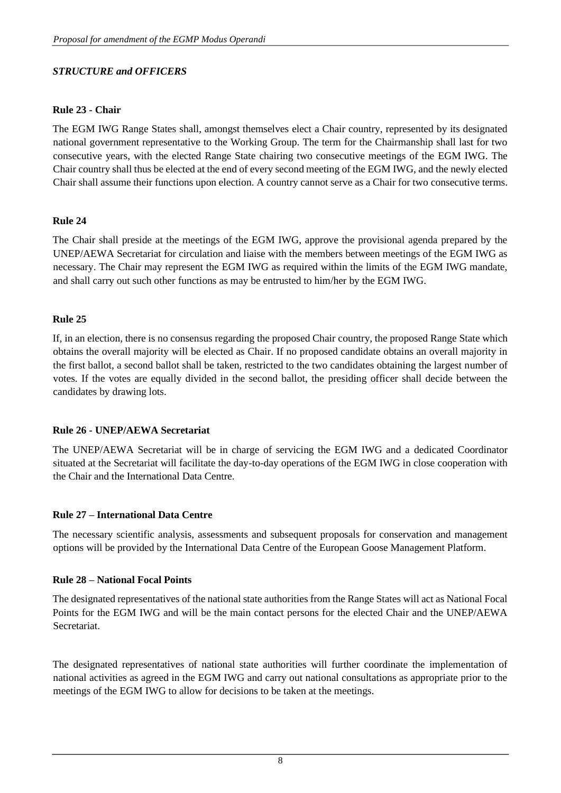### *STRUCTURE and OFFICERS*

#### **Rule 23 - Chair**

The EGM IWG Range States shall, amongst themselves elect a Chair country, represented by its designated national government representative to the Working Group. The term for the Chairmanship shall last for two consecutive years, with the elected Range State chairing two consecutive meetings of the EGM IWG. The Chair country shall thus be elected at the end of every second meeting of the EGM IWG, and the newly elected Chair shall assume their functions upon election. A country cannot serve as a Chair for two consecutive terms.

#### **Rule 24**

The Chair shall preside at the meetings of the EGM IWG, approve the provisional agenda prepared by the UNEP/AEWA Secretariat for circulation and liaise with the members between meetings of the EGM IWG as necessary. The Chair may represent the EGM IWG as required within the limits of the EGM IWG mandate, and shall carry out such other functions as may be entrusted to him/her by the EGM IWG.

#### **Rule 25**

If, in an election, there is no consensus regarding the proposed Chair country, the proposed Range State which obtains the overall majority will be elected as Chair. If no proposed candidate obtains an overall majority in the first ballot, a second ballot shall be taken, restricted to the two candidates obtaining the largest number of votes. If the votes are equally divided in the second ballot, the presiding officer shall decide between the candidates by drawing lots.

#### **Rule 26 - UNEP/AEWA Secretariat**

The UNEP/AEWA Secretariat will be in charge of servicing the EGM IWG and a dedicated Coordinator situated at the Secretariat will facilitate the day-to-day operations of the EGM IWG in close cooperation with the Chair and the International Data Centre.

#### **Rule 27 – International Data Centre**

The necessary scientific analysis, assessments and subsequent proposals for conservation and management options will be provided by the International Data Centre of the European Goose Management Platform.

#### **Rule 28 – National Focal Points**

The designated representatives of the national state authorities from the Range States will act as National Focal Points for the EGM IWG and will be the main contact persons for the elected Chair and the UNEP/AEWA Secretariat.

The designated representatives of national state authorities will further coordinate the implementation of national activities as agreed in the EGM IWG and carry out national consultations as appropriate prior to the meetings of the EGM IWG to allow for decisions to be taken at the meetings.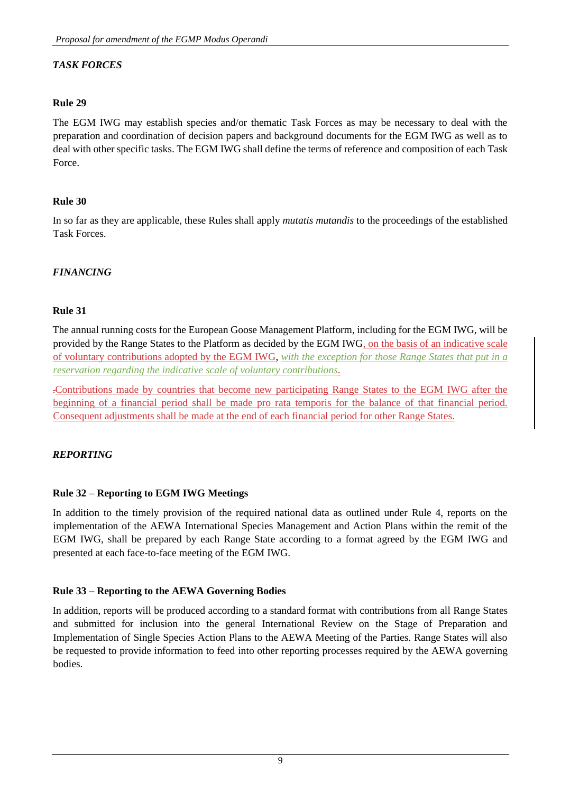# *TASK FORCES*

#### **Rule 29**

The EGM IWG may establish species and/or thematic Task Forces as may be necessary to deal with the preparation and coordination of decision papers and background documents for the EGM IWG as well as to deal with other specific tasks. The EGM IWG shall define the terms of reference and composition of each Task Force.

#### **Rule 30**

In so far as they are applicable, these Rules shall apply *mutatis mutandis* to the proceedings of the established Task Forces.

### *FINANCING*

#### **Rule 31**

The annual running costs for the European Goose Management Platform, including for the EGM IWG, will be provided by the Range States to the Platform as decided by the EGM IWG, on the basis of an indicative scale of voluntary contributions adopted by the EGM IWG, *with the exception for those Range States that put in a reservation regarding the indicative scale of voluntary contributions.*

.Contributions made by countries that become new participating Range States to the EGM IWG after the beginning of a financial period shall be made pro rata temporis for the balance of that financial period. Consequent adjustments shall be made at the end of each financial period for other Range States.

#### *REPORTING*

#### **Rule 32 – Reporting to EGM IWG Meetings**

In addition to the timely provision of the required national data as outlined under Rule 4, reports on the implementation of the AEWA International Species Management and Action Plans within the remit of the EGM IWG, shall be prepared by each Range State according to a format agreed by the EGM IWG and presented at each face-to-face meeting of the EGM IWG.

#### **Rule 33 – Reporting to the AEWA Governing Bodies**

In addition, reports will be produced according to a standard format with contributions from all Range States and submitted for inclusion into the general International Review on the Stage of Preparation and Implementation of Single Species Action Plans to the AEWA Meeting of the Parties. Range States will also be requested to provide information to feed into other reporting processes required by the AEWA governing bodies.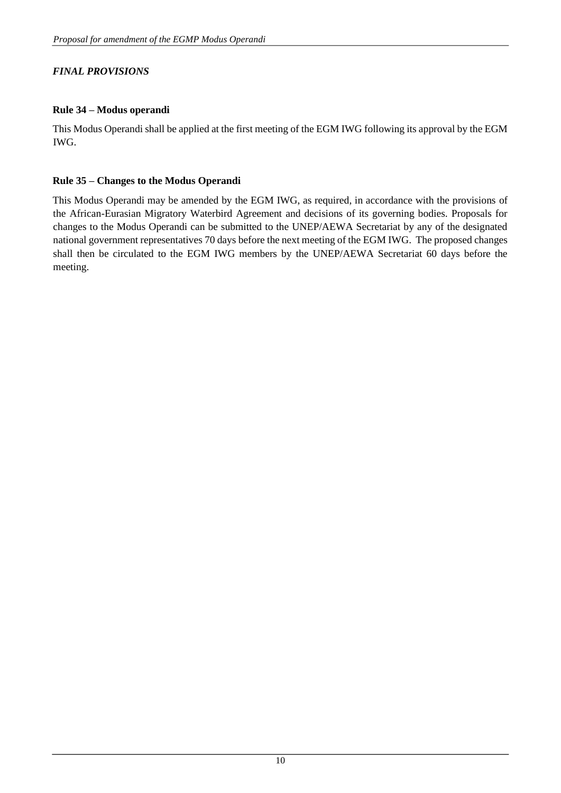# *FINAL PROVISIONS*

# **Rule 34 – Modus operandi**

This Modus Operandi shall be applied at the first meeting of the EGM IWG following its approval by the EGM IWG.

## **Rule 35 – Changes to the Modus Operandi**

This Modus Operandi may be amended by the EGM IWG, as required, in accordance with the provisions of the African-Eurasian Migratory Waterbird Agreement and decisions of its governing bodies. Proposals for changes to the Modus Operandi can be submitted to the UNEP/AEWA Secretariat by any of the designated national government representatives 70 days before the next meeting of the EGM IWG. The proposed changes shall then be circulated to the EGM IWG members by the UNEP/AEWA Secretariat 60 days before the meeting.